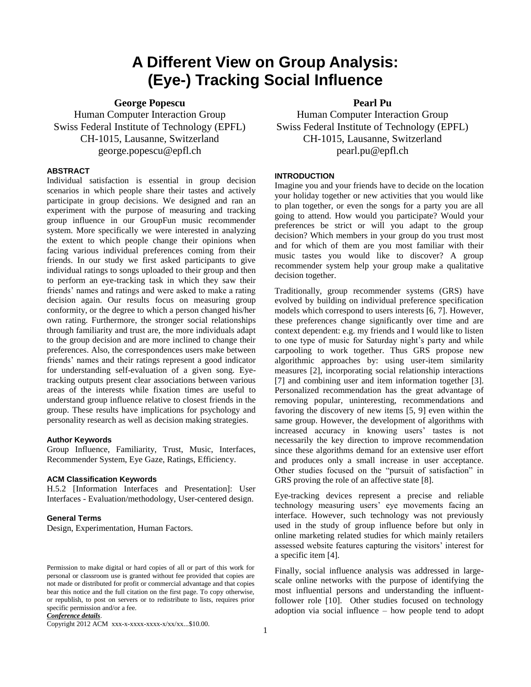# **A Different View on Group Analysis: (Eye-) Tracking Social Influence**

**George Popescu**

Human Computer Interaction Group Swiss Federal Institute of Technology (EPFL) CH-1015, Lausanne, Switzerland george.popescu@epfl.ch

# **ABSTRACT**

Individual satisfaction is essential in group decision scenarios in which people share their tastes and actively participate in group decisions. We designed and ran an experiment with the purpose of measuring and tracking group influence in our GroupFun music recommender system. More specifically we were interested in analyzing the extent to which people change their opinions when facing various individual preferences coming from their friends. In our study we first asked participants to give individual ratings to songs uploaded to their group and then to perform an eye-tracking task in which they saw their friends' names and ratings and were asked to make a rating decision again. Our results focus on measuring group conformity, or the degree to which a person changed his/her own rating. Furthermore, the stronger social relationships through familiarity and trust are, the more individuals adapt to the group decision and are more inclined to change their preferences. Also, the correspondences users make between friends' names and their ratings represent a good indicator for understanding self-evaluation of a given song. Eyetracking outputs present clear associations between various areas of the interests while fixation times are useful to understand group influence relative to closest friends in the group. These results have implications for psychology and personality research as well as decision making strategies.

#### **Author Keywords**

Group Influence, Familiarity, Trust, Music, Interfaces, Recommender System, Eye Gaze, Ratings, Efficiency.

#### **ACM Classification Keywords**

H.5.2 [Information Interfaces and Presentation]: User Interfaces - Evaluation/methodology, User-centered design.

# **General Terms**

Design, Experimentation, Human Factors.

*Conference details*.

Copyright 2012 ACM xxx-x-xxxx-xxxx-x/xx/xx...\$10.00.

**Pearl Pu**

Human Computer Interaction Group Swiss Federal Institute of Technology (EPFL) CH-1015, Lausanne, Switzerland pearl.pu@epfl.ch

#### **INTRODUCTION**

Imagine you and your friends have to decide on the location your holiday together or new activities that you would like to plan together, or even the songs for a party you are all going to attend. How would you participate? Would your preferences be strict or will you adapt to the group decision? Which members in your group do you trust most and for which of them are you most familiar with their music tastes you would like to discover? A group recommender system help your group make a qualitative decision together.

Traditionally, group recommender systems (GRS) have evolved by building on individual preference specification models which correspond to users interests [6, 7]. However, these preferences change significantly over time and are context dependent: e.g. my friends and I would like to listen to one type of music for Saturday night's party and while carpooling to work together. Thus GRS propose new algorithmic approaches by: using user-item similarity measures [2], incorporating social relationship interactions [7] and combining user and item information together [3]. Personalized recommendation has the great advantage of removing popular, uninteresting, recommendations and favoring the discovery of new items [5, 9] even within the same group. However, the development of algorithms with increased accuracy in knowing users' tastes is not necessarily the key direction to improve recommendation since these algorithms demand for an extensive user effort and produces only a small increase in user acceptance. Other studies focused on the "pursuit of satisfaction" in GRS proving the role of an affective state [8].

Eye-tracking devices represent a precise and reliable technology measuring users' eye movements facing an interface. However, such technology was not previously used in the study of group influence before but only in online marketing related studies for which mainly retailers assessed website features capturing the visitors' interest for a specific item [4].

Finally, social influence analysis was addressed in largescale online networks with the purpose of identifying the most influential persons and understanding the influentfollower role [10]. Other studies focused on technology adoption via social influence – how people tend to adopt

Permission to make digital or hard copies of all or part of this work for personal or classroom use is granted without fee provided that copies are not made or distributed for profit or commercial advantage and that copies bear this notice and the full citation on the first page. To copy otherwise, or republish, to post on servers or to redistribute to lists, requires prior specific permission and/or a fee.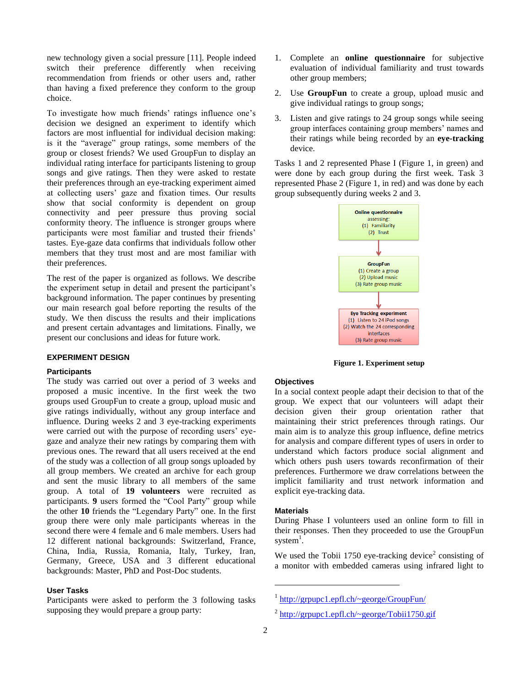new technology given a social pressure [11]. People indeed switch their preference differently when receiving recommendation from friends or other users and, rather than having a fixed preference they conform to the group choice.

To investigate how much friends' ratings influence one's decision we designed an experiment to identify which factors are most influential for individual decision making: is it the "average" group ratings, some members of the group or closest friends? We used GroupFun to display an individual rating interface for participants listening to group songs and give ratings. Then they were asked to restate their preferences through an eye-tracking experiment aimed at collecting users' gaze and fixation times. Our results show that social conformity is dependent on group connectivity and peer pressure thus proving social conformity theory. The influence is stronger groups where participants were most familiar and trusted their friends' tastes. Eye-gaze data confirms that individuals follow other members that they trust most and are most familiar with their preferences.

The rest of the paper is organized as follows. We describe the experiment setup in detail and present the participant's background information. The paper continues by presenting our main research goal before reporting the results of the study. We then discuss the results and their implications and present certain advantages and limitations. Finally, we present our conclusions and ideas for future work.

### **EXPERIMENT DESIGN**

# **Participants**

The study was carried out over a period of 3 weeks and proposed a music incentive. In the first week the two groups used GroupFun to create a group, upload music and give ratings individually, without any group interface and influence. During weeks 2 and 3 eye-tracking experiments were carried out with the purpose of recording users' eyegaze and analyze their new ratings by comparing them with previous ones. The reward that all users received at the end of the study was a collection of all group songs uploaded by all group members. We created an archive for each group and sent the music library to all members of the same group. A total of **19 volunteers** were recruited as participants. **9** users formed the "Cool Party" group while the other **10** friends the "Legendary Party" one. In the first group there were only male participants whereas in the second there were 4 female and 6 male members. Users had 12 different national backgrounds: Switzerland, France, China, India, Russia, Romania, Italy, Turkey, Iran, Germany, Greece, USA and 3 different educational backgrounds: Master, PhD and Post-Doc students.

#### **User Tasks**

Participants were asked to perform the 3 following tasks supposing they would prepare a group party:

- 1. Complete an **online questionnaire** for subjective evaluation of individual familiarity and trust towards other group members;
- 2. Use **GroupFun** to create a group, upload music and give individual ratings to group songs;
- 3. Listen and give ratings to 24 group songs while seeing group interfaces containing group members' names and their ratings while being recorded by an **eye-tracking** device.

Tasks 1 and 2 represented Phase I (Figure 1, in green) and were done by each group during the first week. Task 3 represented Phase 2 (Figure 1, in red) and was done by each group subsequently during weeks 2 and 3.



**Figure 1. Experiment setup**

# **Objectives**

In a social context people adapt their decision to that of the group. We expect that our volunteers will adapt their decision given their group orientation rather that maintaining their strict preferences through ratings. Our main aim is to analyze this group influence, define metrics for analysis and compare different types of users in order to understand which factors produce social alignment and which others push users towards reconfirmation of their preferences. Furthermore we draw correlations between the implicit familiarity and trust network information and explicit eye-tracking data.

#### **Materials**

During Phase I volunteers used an online form to fill in their responses. Then they proceeded to use the GroupFun system $^1$ .

We used the Tobii 1750 eye-tracking device<sup>2</sup> consisting of a monitor with embedded cameras using infrared light to

1

<sup>&</sup>lt;sup>1</sup> <http://grpupc1.epfl.ch/~george/GroupFun/>

 $^{2}$  <http://grpupc1.epfl.ch/~george/Tobii1750.gif>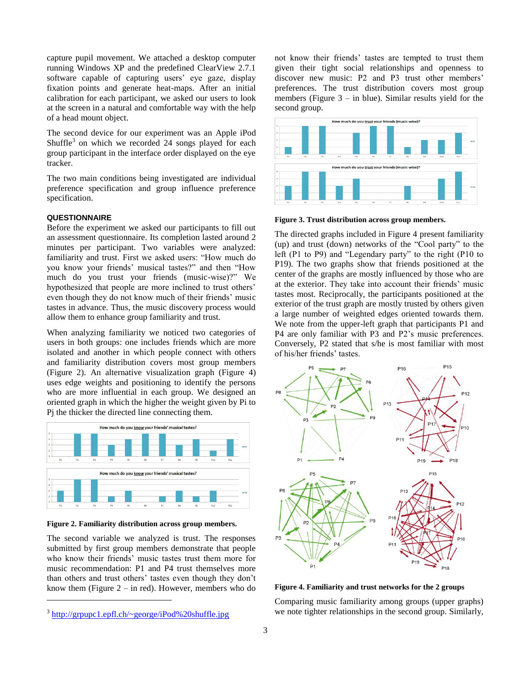capture pupil movement. We attached a desktop computer running Windows XP and the predefined ClearView 2.7.1 software capable of capturing users' eye gaze, display fixation points and generate heat-maps. After an initial calibration for each participant, we asked our users to look at the screen in a natural and comfortable way with the help of a head mount object.

The second device for our experiment was an Apple iPod Shuffle<sup>3</sup> on which we recorded 24 songs played for each group participant in the interface order displayed on the eye tracker.

The two main conditions being investigated are individual preference specification and group influence preference specification.

# **QUESTIONNAIRE**

Before the experiment we asked our participants to fill out an assessment questionnaire. Its completion lasted around 2 minutes per participant. Two variables were analyzed: familiarity and trust. First we asked users: "How much do you know your friends' musical tastes?" and then "How much do you trust your friends (music-wise)?" We hypothesized that people are more inclined to trust others' even though they do not know much of their friends' music tastes in advance. Thus, the music discovery process would allow them to enhance group familiarity and trust.

When analyzing familiarity we noticed two categories of users in both groups: one includes friends which are more isolated and another in which people connect with others and familiarity distribution covers most group members (Figure 2). An alternative visualization graph (Figure 4) uses edge weights and positioning to identify the persons who are more influential in each group. We designed an oriented graph in which the higher the weight given by Pi to Pj the thicker the directed line connecting them.



**Figure 2. Familiarity distribution across group members.**

The second variable we analyzed is trust. The responses submitted by first group members demonstrate that people who know their friends' music tastes trust them more for music recommendation: P1 and P4 trust themselves more than others and trust others' tastes even though they don't know them (Figure  $2 - in$  red). However, members who do

l

not know their friends' tastes are tempted to trust them given their tight social relationships and openness to discover new music: P2 and P3 trust other members' preferences. The trust distribution covers most group members (Figure  $3 -$  in blue). Similar results yield for the second group.



**Figure 3. Trust distribution across group members.**

The directed graphs included in Figure 4 present familiarity (up) and trust (down) networks of the "Cool party" to the left (P1 to P9) and "Legendary party" to the right (P10 to P19). The two graphs show that friends positioned at the center of the graphs are mostly influenced by those who are at the exterior. They take into account their friends' music tastes most. Reciprocally, the participants positioned at the exterior of the trust graph are mostly trusted by others given a large number of weighted edges oriented towards them. We note from the upper-left graph that participants P1 and P4 are only familiar with P3 and P2's music preferences. Conversely, P2 stated that s/he is most familiar with most of his/her friends' tastes.



**Figure 4. Familiarity and trust networks for the 2 groups**

Comparing music familiarity among groups (upper graphs) we note tighter relationships in the second group. Similarly,

<sup>&</sup>lt;sup>3</sup> <http://grpupc1.epfl.ch/~george/iPod%20shuffle.jpg>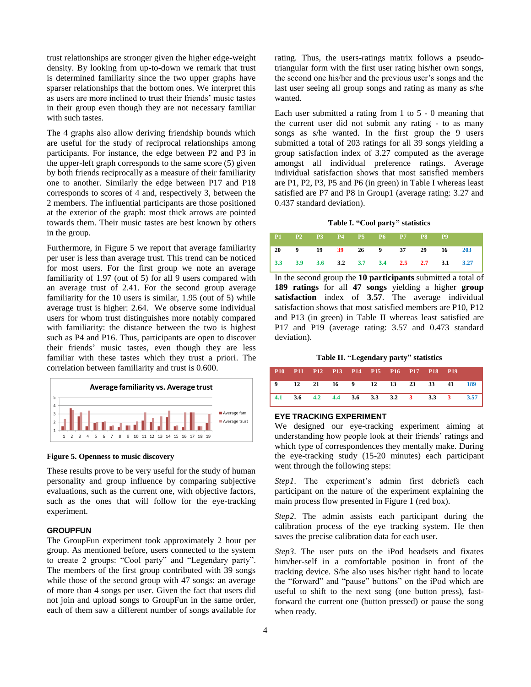trust relationships are stronger given the higher edge-weight density. By looking from up-to-down we remark that trust is determined familiarity since the two upper graphs have sparser relationships that the bottom ones. We interpret this as users are more inclined to trust their friends' music tastes in their group even though they are not necessary familiar with such tastes.

The 4 graphs also allow deriving friendship bounds which are useful for the study of reciprocal relationships among participants. For instance, the edge between P2 and P3 in the upper-left graph corresponds to the same score (5) given by both friends reciprocally as a measure of their familiarity one to another. Similarly the edge between P17 and P18 corresponds to scores of 4 and, respectively 3, between the 2 members. The influential participants are those positioned at the exterior of the graph: most thick arrows are pointed towards them. Their music tastes are best known by others in the group.

Furthermore, in Figure 5 we report that average familiarity per user is less than average trust. This trend can be noticed for most users. For the first group we note an average familiarity of 1.97 (out of 5) for all 9 users compared with an average trust of 2.41. For the second group average familiarity for the 10 users is similar, 1.95 (out of 5) while average trust is higher: 2.64. We observe some individual users for whom trust distinguishes more notably compared with familiarity: the distance between the two is highest such as P4 and P16. Thus, participants are open to discover their friends' music tastes, even though they are less familiar with these tastes which they trust a priori. The correlation between familiarity and trust is 0.600.



**Figure 5. Openness to music discovery**

These results prove to be very useful for the study of human personality and group influence by comparing subjective evaluations, such as the current one, with objective factors, such as the ones that will follow for the eye-tracking experiment.

## **GROUPFUN**

The GroupFun experiment took approximately 2 hour per group. As mentioned before, users connected to the system to create 2 groups: "Cool party" and "Legendary party". The members of the first group contributed with 39 songs while those of the second group with 47 songs: an average of more than 4 songs per user. Given the fact that users did not join and upload songs to GroupFun in the same order, each of them saw a different number of songs available for rating. Thus, the users-ratings matrix follows a pseudotriangular form with the first user rating his/her own songs, the second one his/her and the previous user's songs and the last user seeing all group songs and rating as many as s/he wanted.

Each user submitted a rating from 1 to 5 - 0 meaning that the current user did not submit any rating - to as many songs as s/he wanted. In the first group the 9 users submitted a total of 203 ratings for all 39 songs yielding a group satisfaction index of 3.27 computed as the average amongst all individual preference ratings. Average individual satisfaction shows that most satisfied members are P1, P2, P3, P5 and P6 (in green) in Table I whereas least satisfied are P7 and P8 in Group1 (average rating: 3.27 and 0.437 standard deviation).

#### **Table I. "Cool party" statistics**

| P1 P2 P3 P4 P5 P6 P7 P8 P9               |  |  |  |                              |  |
|------------------------------------------|--|--|--|------------------------------|--|
|                                          |  |  |  | 20 9 19 39 26 9 37 29 16 203 |  |
| 3.3 3.9 3.6 3.2 3.7 3.4 2.5 2.7 3.1 3.27 |  |  |  |                              |  |

In the second group the **10 participants** submitted a total of **189 ratings** for all **47 songs** yielding a higher **group satisfaction** index of **3.57**. The average individual satisfaction shows that most satisfied members are P10, P12 and P13 (in green) in Table II whereas least satisfied are P17 and P19 (average rating: 3.57 and 0.473 standard deviation).

**Table II. "Legendary party" statistics**

|  |  | P10 P11 P12 P13 P14 P15 P16 P17 P18 P19 |  |  |                                          |  |
|--|--|-----------------------------------------|--|--|------------------------------------------|--|
|  |  |                                         |  |  | 9 12 21 16 9 12 13 23 33 41 189          |  |
|  |  |                                         |  |  | 4.1 3.6 4.2 4.4 3.6 3.3 3.2 3 3.3 3 3.57 |  |

#### **EYE TRACKING EXPERIMENT**

We designed our eye-tracking experiment aiming at understanding how people look at their friends' ratings and which type of correspondences they mentally make. During the eye-tracking study (15-20 minutes) each participant went through the following steps:

*Step1*. The experiment's admin first debriefs each participant on the nature of the experiment explaining the main process flow presented in Figure 1 (red box).

*Step2*. The admin assists each participant during the calibration process of the eye tracking system. He then saves the precise calibration data for each user.

*Step3*. The user puts on the iPod headsets and fixates him/her-self in a comfortable position in front of the tracking device. S/he also uses his/her right hand to locate the "forward" and "pause" buttons" on the iPod which are useful to shift to the next song (one button press), fastforward the current one (button pressed) or pause the song when ready.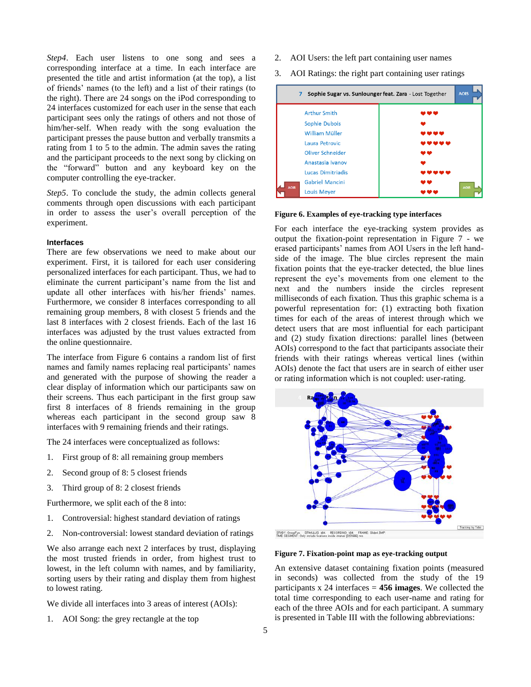*Step4*. Each user listens to one song and sees a corresponding interface at a time. In each interface are presented the title and artist information (at the top), a list of friends' names (to the left) and a list of their ratings (to the right). There are 24 songs on the iPod corresponding to 24 interfaces customized for each user in the sense that each participant sees only the ratings of others and not those of him/her-self. When ready with the song evaluation the participant presses the pause button and verbally transmits a rating from 1 to 5 to the admin. The admin saves the rating and the participant proceeds to the next song by clicking on the "forward" button and any keyboard key on the computer controlling the eye-tracker.

*Step5*. To conclude the study, the admin collects general comments through open discussions with each participant in order to assess the user's overall perception of the experiment.

#### **Interfaces**

There are few observations we need to make about our experiment. First, it is tailored for each user considering personalized interfaces for each participant. Thus, we had to eliminate the current participant's name from the list and update all other interfaces with his/her friends' names. Furthermore, we consider 8 interfaces corresponding to all remaining group members, 8 with closest 5 friends and the last 8 interfaces with 2 closest friends. Each of the last 16 interfaces was adjusted by the trust values extracted from the online questionnaire.

The interface from Figure 6 contains a random list of first names and family names replacing real participants' names and generated with the purpose of showing the reader a clear display of information which our participants saw on their screens. Thus each participant in the first group saw first 8 interfaces of 8 friends remaining in the group whereas each participant in the second group saw 8 interfaces with 9 remaining friends and their ratings.

The 24 interfaces were conceptualized as follows:

- 1. First group of 8: all remaining group members
- 2. Second group of 8: 5 closest friends
- 3. Third group of 8: 2 closest friends

Furthermore, we split each of the 8 into:

- 1. Controversial: highest standard deviation of ratings
- 2. Non-controversial: lowest standard deviation of ratings

We also arrange each next 2 interfaces by trust, displaying the most trusted friends in order, from highest trust to lowest, in the left column with names, and by familiarity, sorting users by their rating and display them from highest to lowest rating.

We divide all interfaces into 3 areas of interest (AOIs):

1. AOI Song: the grey rectangle at the top

- 2. AOI Users: the left part containing user names
- 3. AOI Ratings: the right part containing user ratings



#### **Figure 6. Examples of eye-tracking type interfaces**

For each interface the eye-tracking system provides as output the fixation-point representation in Figure 7 - we erased participants' names from AOI Users in the left handside of the image. The blue circles represent the main fixation points that the eye-tracker detected, the blue lines represent the eye's movements from one element to the next and the numbers inside the circles represent milliseconds of each fixation. Thus this graphic schema is a powerful representation for: (1) extracting both fixation times for each of the areas of interest through which we detect users that are most influential for each participant and (2) study fixation directions: parallel lines (between AOIs) correspond to the fact that participants associate their friends with their ratings whereas vertical lines (within AOIs) denote the fact that users are in search of either user or rating information which is not coupled: user-rating.



**Figure 7. Fixation-point map as eye-tracking output**

An extensive dataset containing fixation points (measured in seconds) was collected from the study of the 19 participants x 24 interfaces = **456 images**. We collected the total time corresponding to each user-name and rating for each of the three AOIs and for each participant. A summary is presented in Table III with the following abbreviations: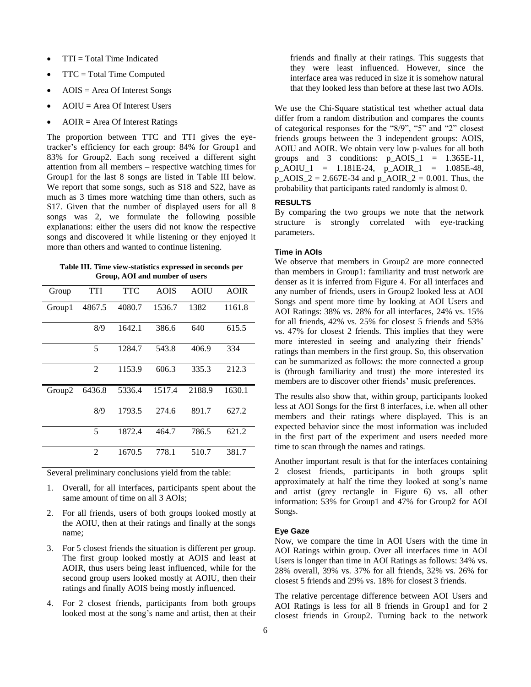- TTI = Total Time Indicated
- TTC = Total Time Computed
- AOIS = Area Of Interest Songs
- AOIU = Area Of Interest Users
- AOIR = Area Of Interest Ratings

The proportion between TTC and TTI gives the eyetracker's efficiency for each group: 84% for Group1 and 83% for Group2. Each song received a different sight attention from all members – respective watching times for Group1 for the last 8 songs are listed in Table III below. We report that some songs, such as S18 and S22, have as much as 3 times more watching time than others, such as S17. Given that the number of displayed users for all 8 songs was 2, we formulate the following possible explanations: either the users did not know the respective songs and discovered it while listening or they enjoyed it more than others and wanted to continue listening.

**Table III. Time view-statistics expressed in seconds per Group, AOI and number of users**

| Group              | <b>TTI</b>     | <b>TTC</b> | <b>AOIS</b> | <b>AOIU</b> | <b>AOIR</b> |
|--------------------|----------------|------------|-------------|-------------|-------------|
| Group1             | 4867.5         | 4080.7     | 1536.7      | 1382        | 1161.8      |
|                    | 8/9            | 1642.1     | 386.6       | 640         | 615.5       |
|                    | 5              | 1284.7     | 543.8       | 406.9       | 334         |
|                    | $\mathfrak{D}$ | 1153.9     | 606.3       | 335.3       | 212.3       |
| Group <sub>2</sub> | 6436.8         | 5336.4     | 1517.4      | 2188.9      | 1630.1      |
|                    | 8/9            | 1793.5     | 274.6       | 891.7       | 627.2       |
|                    | 5              | 1872.4     | 464.7       | 786.5       | 621.2       |
|                    | 2              | 1670.5     | 778.1       | 510.7       | 381.7       |

Several preliminary conclusions yield from the table:

- 1. Overall, for all interfaces, participants spent about the same amount of time on all 3 AOIs;
- 2. For all friends, users of both groups looked mostly at the AOIU, then at their ratings and finally at the songs name;
- 3. For 5 closest friends the situation is different per group. The first group looked mostly at AOIS and least at AOIR, thus users being least influenced, while for the second group users looked mostly at AOIU, then their ratings and finally AOIS being mostly influenced.
- 4. For 2 closest friends, participants from both groups looked most at the song's name and artist, then at their

friends and finally at their ratings. This suggests that they were least influenced. However, since the interface area was reduced in size it is somehow natural that they looked less than before at these last two AOIs.

We use the Chi-Square statistical test whether actual data differ from a random distribution and compares the counts of categorical responses for the "8/9", "5" and "2" closest friends groups between the 3 independent groups: AOIS, AOIU and AOIR. We obtain very low p-values for all both groups and 3 conditions:  $p_AOIS_1 = 1.365E-11$ , p\_AOIU\_1 = 1.181E-24, p\_AOIR\_1 = 1.085E-48, p\_AOIS\_2 = 2.667E-34 and p\_AOIR\_2 = 0.001. Thus, the probability that participants rated randomly is almost 0.

#### **RESULTS**

By comparing the two groups we note that the network structure is strongly correlated with eye-tracking parameters.

# **Time in AOIs**

We observe that members in Group2 are more connected than members in Group1: familiarity and trust network are denser as it is inferred from Figure 4. For all interfaces and any number of friends, users in Group2 looked less at AOI Songs and spent more time by looking at AOI Users and AOI Ratings: 38% vs. 28% for all interfaces, 24% vs. 15% for all friends, 42% vs. 25% for closest 5 friends and 53% vs. 47% for closest 2 friends. This implies that they were more interested in seeing and analyzing their friends' ratings than members in the first group. So, this observation can be summarized as follows: the more connected a group is (through familiarity and trust) the more interested its members are to discover other friends' music preferences.

The results also show that, within group, participants looked less at AOI Songs for the first 8 interfaces, i.e. when all other members and their ratings where displayed. This is an expected behavior since the most information was included in the first part of the experiment and users needed more time to scan through the names and ratings.

Another important result is that for the interfaces containing 2 closest friends, participants in both groups split approximately at half the time they looked at song's name and artist (grey rectangle in Figure 6) vs. all other information: 53% for Group1 and 47% for Group2 for AOI Songs.

#### **Eye Gaze**

Now, we compare the time in AOI Users with the time in AOI Ratings within group. Over all interfaces time in AOI Users is longer than time in AOI Ratings as follows: 34% vs. 28% overall, 39% vs. 37% for all friends, 32% vs. 26% for closest 5 friends and 29% vs. 18% for closest 3 friends.

The relative percentage difference between AOI Users and AOI Ratings is less for all 8 friends in Group1 and for 2 closest friends in Group2. Turning back to the network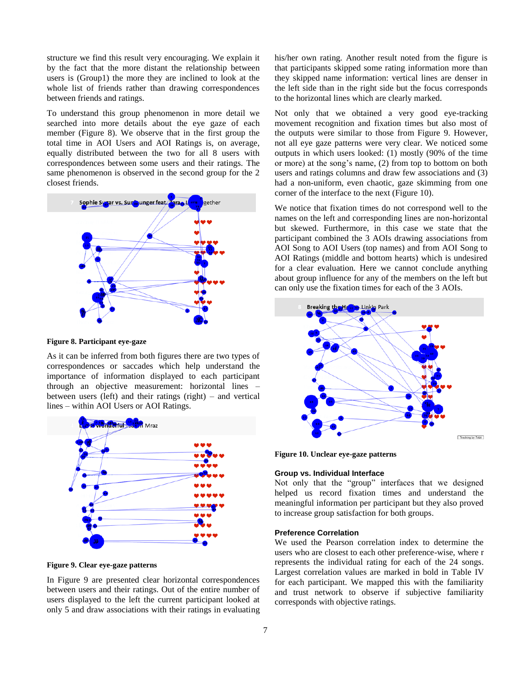structure we find this result very encouraging. We explain it by the fact that the more distant the relationship between users is (Group1) the more they are inclined to look at the whole list of friends rather than drawing correspondences between friends and ratings.

To understand this group phenomenon in more detail we searched into more details about the eye gaze of each member (Figure 8). We observe that in the first group the total time in AOI Users and AOI Ratings is, on average, equally distributed between the two for all 8 users with correspondences between some users and their ratings. The same phenomenon is observed in the second group for the 2 closest friends.



**Figure 8. Participant eye-gaze**

As it can be inferred from both figures there are two types of correspondences or saccades which help understand the importance of information displayed to each participant through an objective measurement: horizontal lines – between users (left) and their ratings (right) – and vertical lines – within AOI Users or AOI Ratings.



**Figure 9. Clear eye-gaze patterns**

In Figure 9 are presented clear horizontal correspondences between users and their ratings. Out of the entire number of users displayed to the left the current participant looked at only 5 and draw associations with their ratings in evaluating

his/her own rating. Another result noted from the figure is that participants skipped some rating information more than they skipped name information: vertical lines are denser in the left side than in the right side but the focus corresponds to the horizontal lines which are clearly marked.

Not only that we obtained a very good eye-tracking movement recognition and fixation times but also most of the outputs were similar to those from Figure 9. However, not all eye gaze patterns were very clear. We noticed some outputs in which users looked: (1) mostly (90% of the time or more) at the song's name, (2) from top to bottom on both users and ratings columns and draw few associations and (3) had a non-uniform, even chaotic, gaze skimming from one corner of the interface to the next (Figure 10).

We notice that fixation times do not correspond well to the names on the left and corresponding lines are non-horizontal but skewed. Furthermore, in this case we state that the participant combined the 3 AOIs drawing associations from AOI Song to AOI Users (top names) and from AOI Song to AOI Ratings (middle and bottom hearts) which is undesired for a clear evaluation. Here we cannot conclude anything about group influence for any of the members on the left but can only use the fixation times for each of the 3 AOIs.



**Figure 10. Unclear eye-gaze patterns**

#### **Group vs. Individual Interface**

Not only that the "group" interfaces that we designed helped us record fixation times and understand the meaningful information per participant but they also proved to increase group satisfaction for both groups.

#### **Preference Correlation**

We used the Pearson correlation index to determine the users who are closest to each other preference-wise, where r represents the individual rating for each of the 24 songs. Largest correlation values are marked in bold in Table IV for each participant. We mapped this with the familiarity and trust network to observe if subjective familiarity corresponds with objective ratings.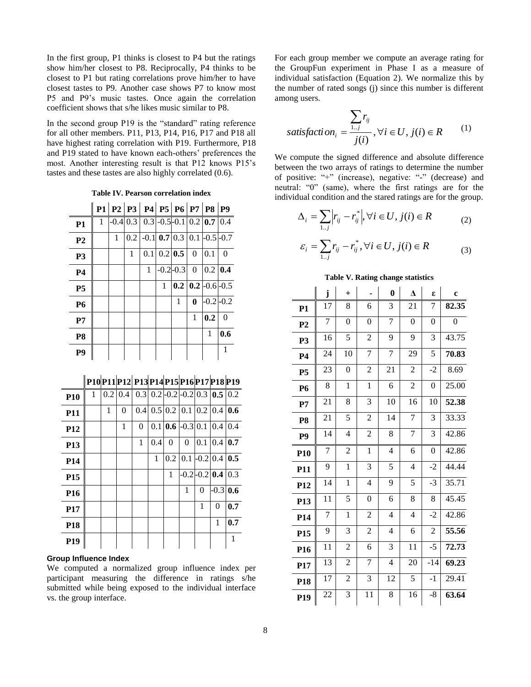In the first group, P1 thinks is closest to P4 but the ratings show him/her closest to P8. Reciprocally, P4 thinks to be closest to P1 but rating correlations prove him/her to have closest tastes to P9. Another case shows P7 to know most P5 and P9's music tastes. Once again the correlation coefficient shows that s/he likes music similar to P8.

In the second group P19 is the "standard" rating reference for all other members. P11, P13, P14, P16, P17 and P18 all have highest rating correlation with P19. Furthermore, P18 and P19 stated to have known each-others' preferences the most. Another interesting result is that P12 knows P15's tastes and these tastes are also highly correlated (0.6).

**Table IV. Pearson correlation index**

|                |              | $P1   P2   P3   P4   P5   P6   P7   P8   P9$ |   |                                      |                     |                                             |          |               |          |
|----------------|--------------|----------------------------------------------|---|--------------------------------------|---------------------|---------------------------------------------|----------|---------------|----------|
| P <sub>1</sub> | $\mathbf{1}$ |                                              |   | $-0.4$ 0.3 0.3 -0.5 -0.1 0.2 0.7 0.4 |                     |                                             |          |               |          |
| P <sub>2</sub> |              | $\mathbf{1}$                                 |   | $0.2$ -0.1 0.7 0.3 0.1 -0.5 -0.7     |                     |                                             |          |               |          |
| <b>P3</b>      |              |                                              | 1 |                                      | $0.1 \, 0.2 \, 0.5$ |                                             | $\Omega$ | $\vert$ 0.1   | $\theta$ |
| <b>P4</b>      |              |                                              |   | 1                                    |                     | $-0.2 - 0.3$                                | $\theta$ | $0.2 \, 0.4$  |          |
| <b>P5</b>      |              |                                              |   |                                      | 1                   | $\vert 0.2 \vert \vert 0.2 \vert$ -0.6 -0.5 |          |               |          |
| <b>P6</b>      |              |                                              |   |                                      |                     | 1                                           | $\bf{0}$ | $-0.2$ $-0.2$ |          |
| P7             |              |                                              |   |                                      |                     |                                             | 1        | 0.2           | $\Omega$ |
| P <sub>8</sub> |              |                                              |   |                                      |                     |                                             |          | 1             | 0.6      |
| P9             |              |                                              |   |                                      |                     |                                             |          |               |          |

# **P10P11P12 P13 P14P15P16P17P18 P19**

| <b>P10</b>      | 1 | $0.2 \,   0.4$ |          |          |     | $\overline{0.3}$ $\overline{0.2}$ -0.2 -0.2 $\overline{0.3}$ $\overline{0.5}$ $\overline{0.2}$ |          |            |                     |                  |
|-----------------|---|----------------|----------|----------|-----|------------------------------------------------------------------------------------------------|----------|------------|---------------------|------------------|
| <b>P11</b>      |   | 1              | $\theta$ | 0.41     |     | 0.5 0.2 0.1 0.2 0.4 0.6                                                                        |          |            |                     |                  |
| P <sub>12</sub> |   |                | 1        | $\theta$ |     | $0.1 \,   \, 0.6 \,   \, -0.3 \,   \, 0.1 \,   \, 0.4 \,   \,$                                 |          |            |                     | 0.4              |
| P <sub>13</sub> |   |                |          | 1        | 0.4 | $\theta$                                                                                       | $\theta$ | 0.1        | 0.4                 | $\overline{0.7}$ |
| P <sub>14</sub> |   |                |          |          | 1   | 0.2                                                                                            | 0.1      | $-0.2$ 0.4 |                     | $\overline{0.5}$ |
| P <sub>15</sub> |   |                |          |          |     | 1                                                                                              |          |            | $-0.2$ -0.2 0.4 0.3 |                  |
| P <sub>16</sub> |   |                |          |          |     |                                                                                                | 1        | $\theta$   | $-0.3$ 0.6          |                  |
| P <sub>17</sub> |   |                |          |          |     |                                                                                                |          | 1          | $\theta$            | 0.7              |
| <b>P18</b>      |   |                |          |          |     |                                                                                                |          |            | 1                   | 0.7              |
| P <sub>19</sub> |   |                |          |          |     |                                                                                                |          |            |                     | 1                |

#### **Group Influence Index**

We computed a normalized group influence index per participant measuring the difference in ratings s/he submitted while being exposed to the individual interface vs. the group interface.

For each group member we compute an average rating for the GroupFun experiment in Phase I as a measure of individual satisfaction (Equation 2). We normalize this by the number of rated songs (j) since this number is different among users.

$$
satisfaction_i = \frac{\sum_{i,j} r_{ij}}{j(i)}, \forall i \in U, j(i) \in R
$$
 (1)

We compute the signed difference and absolute difference between the two arrays of ratings to determine the number of positive: "+" (increase), negative: "-" (decrease) and neutral: "0" (same), where the first ratings are for the individual condition and the stared ratings are for the group.

$$
\Delta_i = \sum_{i,j} \left| r_{ij} - r_{ij}^* \right|, \forall i \in U, j(i) \in R \tag{2}
$$

$$
\varepsilon_i = \sum_{1..j} r_{ij} - r_{ij}^*, \forall i \in U, j(i) \in R
$$
\n(3)

## **Table V. Rating change statistics**

|                 | j              | $\ddot{}$                |                | $\bf{0}$       | $\Lambda$      | ε                | $\mathbf c$    |
|-----------------|----------------|--------------------------|----------------|----------------|----------------|------------------|----------------|
| <b>P1</b>       | 17             | 8                        | 6              | 3              | 21             | 7                | 82.35          |
| P <sub>2</sub>  | $\overline{7}$ | $\overline{0}$           | $\overline{0}$ | $\overline{7}$ | $\overline{0}$ | $\boldsymbol{0}$ | $\overline{0}$ |
| P <sub>3</sub>  | 16             | 5                        | $\overline{c}$ | 9              | 9              | 3                | 43.75          |
| <b>P4</b>       | 24             | 10                       | $\overline{7}$ | $\overline{7}$ | 29             | 5                | 70.83          |
| P <sub>5</sub>  | 23             | $\boldsymbol{0}$         | $\overline{c}$ | 21             | $\overline{2}$ | $-2$             | 8.69           |
| P6              | 8              | $\mathbf{1}$             | $\mathbf{1}$   | 6              | $\overline{c}$ | $\boldsymbol{0}$ | 25.00          |
| P7              | 21             | 8                        | 3              | 10             | 16             | 10               | 52.38          |
| P <sub>8</sub>  | 21             | 5                        | $\overline{c}$ | 14             | 7              | 3                | 33.33          |
| P <sub>9</sub>  | 14             | $\overline{\mathcal{L}}$ | $\overline{c}$ | 8              | 7              | 3                | 42.86          |
| P <sub>10</sub> | $\overline{7}$ | $\overline{2}$           | $\mathbf{1}$   | $\overline{4}$ | 6              | $\boldsymbol{0}$ | 42.86          |
| P11             | 9              | $\mathbf{1}$             | $\overline{3}$ | 5              | 4              | $-2$             | 44.44          |
| P <sub>12</sub> | 14             | $\mathbf{1}$             | $\overline{4}$ | 9              | 5              | $-3$             | 35.71          |
| P <sub>13</sub> | 11             | 5                        | $\overline{0}$ | 6              | 8              | 8                | 45.45          |
| P <sub>14</sub> | $\overline{7}$ | $\mathbf{1}$             | $\overline{c}$ | 4              | $\overline{4}$ | $-2$             | 42.86          |
| P <sub>15</sub> | 9              | 3                        | $\overline{2}$ | $\overline{4}$ | 6              | $\overline{2}$   | 55.56          |
| P <sub>16</sub> | 11             | $\overline{c}$           | 6              | 3              | 11             | $-5$             | 72.73          |
| P17             | 13             | 2                        | $\overline{7}$ | $\overline{4}$ | 20             | $-14$            | 69.23          |
| P <sub>18</sub> | 17             | 2                        | $\overline{3}$ | 12             | 5              | $-1$             | 29.41          |
| P <sub>19</sub> | 22             | 3                        | 11             | 8              | 16             | $-8$             | 63.64          |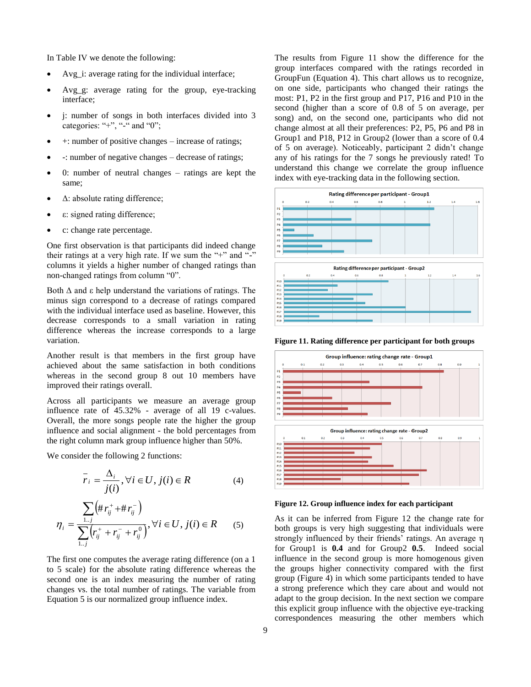In Table IV we denote the following:

- Avg i: average rating for the individual interface;
- Avg g: average rating for the group, eye-tracking interface;
- j: number of songs in both interfaces divided into 3 categories: "+", "-" and "0";
- +: number of positive changes increase of ratings;
- -: number of negative changes decrease of ratings;
- 0: number of neutral changes ratings are kept the same;
- Δ: absolute rating difference;
- ε: signed rating difference;
- c: change rate percentage.

One first observation is that participants did indeed change their ratings at a very high rate. If we sum the "+" and "-" columns it yields a higher number of changed ratings than non-changed ratings from column "0".

Both  $Δ$  and ε help understand the variations of ratings. The minus sign correspond to a decrease of ratings compared with the individual interface used as baseline. However, this decrease corresponds to a small variation in rating difference whereas the increase corresponds to a large variation.

Another result is that members in the first group have achieved about the same satisfaction in both conditions whereas in the second group 8 out 10 members have improved their ratings overall.

Across all participants we measure an average group influence rate of 45.32% - average of all 19 c-values. Overall, the more songs people rate the higher the group influence and social alignment - the bold percentages from the right column mark group influence higher than 50%.

We consider the following 2 functions:

$$
\overline{r}_i = \frac{\Delta_i}{j(i)}, \forall i \in U, j(i) \in R
$$
\n(4)

$$
\eta_{i} = \frac{\sum_{1..j} (\#r_{ij}^{+} + \#r_{ij}^{-})}{\sum_{1..j} (r_{ij}^{+} + r_{ij}^{-} + r_{ij}^{0})}, \forall i \in U, j(i) \in R
$$
 (5)

The first one computes the average rating difference (on a 1 to 5 scale) for the absolute rating difference whereas the second one is an index measuring the number of rating changes vs. the total number of ratings. The variable from Equation 5 is our normalized group influence index.

The results from Figure 11 show the difference for the group interfaces compared with the ratings recorded in GroupFun (Equation 4). This chart allows us to recognize, on one side, participants who changed their ratings the most: P1, P2 in the first group and P17, P16 and P10 in the second (higher than a score of 0.8 of 5 on average, per song) and, on the second one, participants who did not change almost at all their preferences: P2, P5, P6 and P8 in Group1 and P18, P12 in Group2 (lower than a score of 0.4 of 5 on average). Noticeably, participant 2 didn't change any of his ratings for the 7 songs he previously rated! To understand this change we correlate the group influence index with eye-tracking data in the following section.



**Figure 11. Rating difference per participant for both groups**



**Figure 12. Group influence index for each participant**

As it can be inferred from Figure 12 the change rate for both groups is very high suggesting that individuals were strongly influenced by their friends' ratings. An average η for Group1 is **0.4** and for Group2 **0.5**. Indeed social influence in the second group is more homogenous given the groups higher connectivity compared with the first group (Figure 4) in which some participants tended to have a strong preference which they care about and would not adapt to the group decision. In the next section we compare this explicit group influence with the objective eye-tracking correspondences measuring the other members which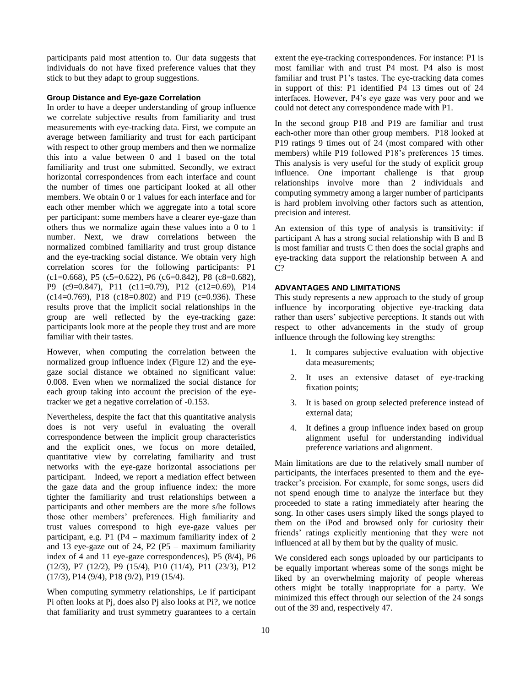participants paid most attention to. Our data suggests that individuals do not have fixed preference values that they stick to but they adapt to group suggestions.

# **Group Distance and Eye-gaze Correlation**

In order to have a deeper understanding of group influence we correlate subjective results from familiarity and trust measurements with eye-tracking data. First, we compute an average between familiarity and trust for each participant with respect to other group members and then we normalize this into a value between 0 and 1 based on the total familiarity and trust one submitted. Secondly, we extract horizontal correspondences from each interface and count the number of times one participant looked at all other members. We obtain 0 or 1 values for each interface and for each other member which we aggregate into a total score per participant: some members have a clearer eye-gaze than others thus we normalize again these values into a 0 to 1 number. Next, we draw correlations between the normalized combined familiarity and trust group distance and the eye-tracking social distance. We obtain very high correlation scores for the following participants: P1  $(c1=0.668)$ , P5  $(c5=0.622)$ , P6  $(c6=0.842)$ , P8  $(c8=0.682)$ , P9 (c9=0.847), P11 (c11=0.79), P12 (c12=0.69), P14  $(c14=0.769)$ , P18  $(c18=0.802)$  and P19  $(c=0.936)$ . These results prove that the implicit social relationships in the group are well reflected by the eye-tracking gaze: participants look more at the people they trust and are more familiar with their tastes.

However, when computing the correlation between the normalized group influence index (Figure 12) and the eyegaze social distance we obtained no significant value: 0.008. Even when we normalized the social distance for each group taking into account the precision of the eyetracker we get a negative correlation of -0.153.

Nevertheless, despite the fact that this quantitative analysis does is not very useful in evaluating the overall correspondence between the implicit group characteristics and the explicit ones, we focus on more detailed, quantitative view by correlating familiarity and trust networks with the eye-gaze horizontal associations per participant. Indeed, we report a mediation effect between the gaze data and the group influence index: the more tighter the familiarity and trust relationships between a participants and other members are the more s/he follows those other members' preferences. High familiarity and trust values correspond to high eye-gaze values per participant, e.g. P1 (P4 – maximum familiarity index of 2 and 13 eye-gaze out of 24, P2 (P5 – maximum familiarity index of 4 and 11 eye-gaze correspondences), P5 (8/4), P6 (12/3), P7 (12/2), P9 (15/4), P10 (11/4), P11 (23/3), P12 (17/3), P14 (9/4), P18 (9/2), P19 (15/4).

When computing symmetry relationships, i.e if participant Pi often looks at Pj, does also Pj also looks at Pi?, we notice that familiarity and trust symmetry guarantees to a certain extent the eye-tracking correspondences. For instance: P1 is most familiar with and trust P4 most. P4 also is most familiar and trust P1's tastes. The eye-tracking data comes in support of this: P1 identified P4 13 times out of 24 interfaces. However, P4's eye gaze was very poor and we could not detect any correspondence made with P1.

In the second group P18 and P19 are familiar and trust each-other more than other group members. P18 looked at P19 ratings 9 times out of 24 (most compared with other members) while P19 followed P18's preferences 15 times. This analysis is very useful for the study of explicit group influence. One important challenge is that group relationships involve more than 2 individuals and computing symmetry among a larger number of participants is hard problem involving other factors such as attention, precision and interest.

An extension of this type of analysis is transitivity: if participant A has a strong social relationship with B and B is most familiar and trusts C then does the social graphs and eye-tracking data support the relationship between A and C?

# **ADVANTAGES AND LIMITATIONS**

This study represents a new approach to the study of group influence by incorporating objective eye-tracking data rather than users' subjective perceptions. It stands out with respect to other advancements in the study of group influence through the following key strengths:

- 1. It compares subjective evaluation with objective data measurements;
- 2. It uses an extensive dataset of eye-tracking fixation points;
- 3. It is based on group selected preference instead of external data;
- 4. It defines a group influence index based on group alignment useful for understanding individual preference variations and alignment.

Main limitations are due to the relatively small number of participants, the interfaces presented to them and the eyetracker's precision. For example, for some songs, users did not spend enough time to analyze the interface but they proceeded to state a rating immediately after hearing the song. In other cases users simply liked the songs played to them on the iPod and browsed only for curiosity their friends' ratings explicitly mentioning that they were not influenced at all by them but by the quality of music.

We considered each songs uploaded by our participants to be equally important whereas some of the songs might be liked by an overwhelming majority of people whereas others might be totally inappropriate for a party. We minimized this effect through our selection of the 24 songs out of the 39 and, respectively 47.